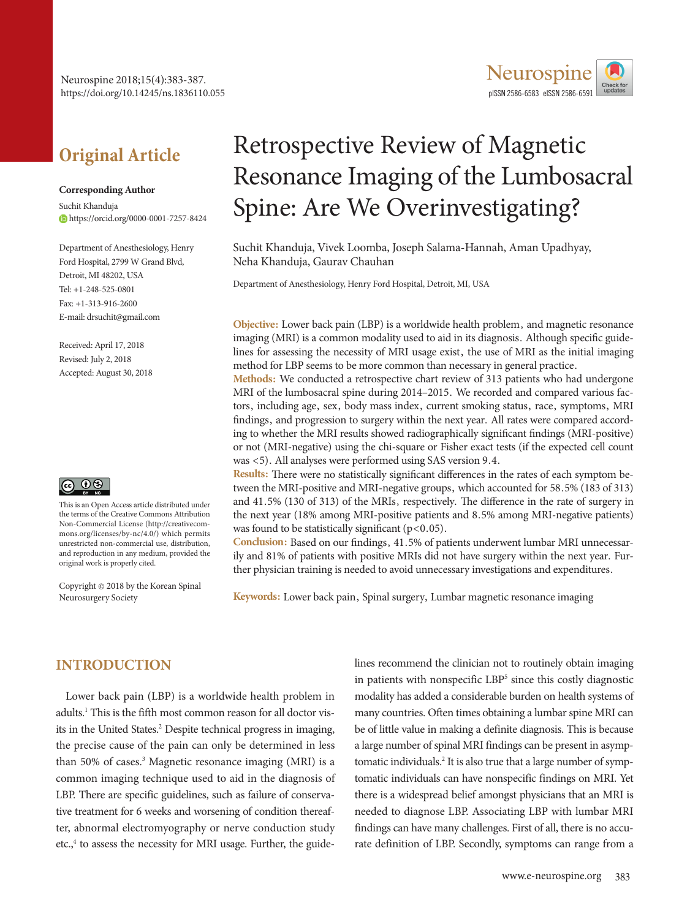# **Original Article**

#### **Corresponding Author**

Suchit Khanduja https://orcid.org/0000-0001-7257-8424

Department of Anesthesiology, Henry Ford Hospital, 2799 W Grand Blvd, Detroit, MI 48202, USA  $Tel: +1-248-525-0801$ Fax: +1-313-916-2600 E-mail: drsuchit@gmail.com

Received: April 17, 2018 Revised: July 2, 2018 Accepted: August 30, 2018



This is an Open Access article distributed under the terms of the Creative Commons Attribution Non-Commercial License (http://creativecommons.org/licenses/by-nc/4.0/) which permits unrestricted non-commercial use, distribution, and reproduction in any medium, provided the original work is properly cited.

Copyright © 2018 by the Korean Spinal Neurosurgery Society

# Retrospective Review of Magnetic Resonance Imaging of the Lumbosacral Spine: Are We Overinvestigating?

**Neurospine** pISSN 2586-6583 eISSN 2586-6591

Suchit Khanduja, Vivek Loomba, Joseph Salama-Hannah, Aman Upadhyay, Neha Khanduja, Gaurav Chauhan

Department of Anesthesiology, Henry Ford Hospital, Detroit, MI, USA

**Objective:** Lower back pain (LBP) is a worldwide health problem, and magnetic resonance imaging (MRI) is a common modality used to aid in its diagnosis. Although specific guidelines for assessing the necessity of MRI usage exist, the use of MRI as the initial imaging method for LBP seems to be more common than necessary in general practice.

**Methods:** We conducted a retrospective chart review of 313 patients who had undergone MRI of the lumbosacral spine during 2014–2015. We recorded and compared various factors, including age, sex, body mass index, current smoking status, race, symptoms, MRI findings, and progression to surgery within the next year. All rates were compared according to whether the MRI results showed radiographically significant findings (MRI-positive) or not (MRI-negative) using the chi-square or Fisher exact tests (if the expected cell count was <5). All analyses were performed using SAS version 9.4.

**Results:** There were no statistically significant differences in the rates of each symptom between the MRI-positive and MRI-negative groups, which accounted for 58.5% (183 of 313) and 41.5% (130 of 313) of the MRIs, respectively. The difference in the rate of surgery in the next year (18% among MRI-positive patients and 8.5% among MRI-negative patients) was found to be statistically significant  $(p<0.05)$ .

**Conclusion:** Based on our findings, 41.5% of patients underwent lumbar MRI unnecessarily and 81% of patients with positive MRIs did not have surgery within the next year. Further physician training is needed to avoid unnecessary investigations and expenditures.

**Keywords:** Lower back pain, Spinal surgery, Lumbar magnetic resonance imaging

## **INTRODUCTION**

Lower back pain (LBP) is a worldwide health problem in adults.<sup>1</sup> This is the fifth most common reason for all doctor visits in the United States.<sup>2</sup> Despite technical progress in imaging, the precise cause of the pain can only be determined in less than 50% of cases.<sup>3</sup> Magnetic resonance imaging (MRI) is a common imaging technique used to aid in the diagnosis of LBP. There are specific guidelines, such as failure of conservative treatment for 6 weeks and worsening of condition thereafter, abnormal electromyography or nerve conduction study etc.,<sup>4</sup> to assess the necessity for MRI usage. Further, the guidelines recommend the clinician not to routinely obtain imaging in patients with nonspecific LBP<sup>5</sup> since this costly diagnostic modality has added a considerable burden on health systems of many countries. Often times obtaining a lumbar spine MRI can be of little value in making a definite diagnosis. This is because a large number of spinal MRI findings can be present in asymptomatic individuals.<sup>2</sup> It is also true that a large number of symptomatic individuals can have nonspecific findings on MRI. Yet there is a widespread belief amongst physicians that an MRI is needed to diagnose LBP. Associating LBP with lumbar MRI findings can have many challenges. First of all, there is no accurate definition of LBP. Secondly, symptoms can range from a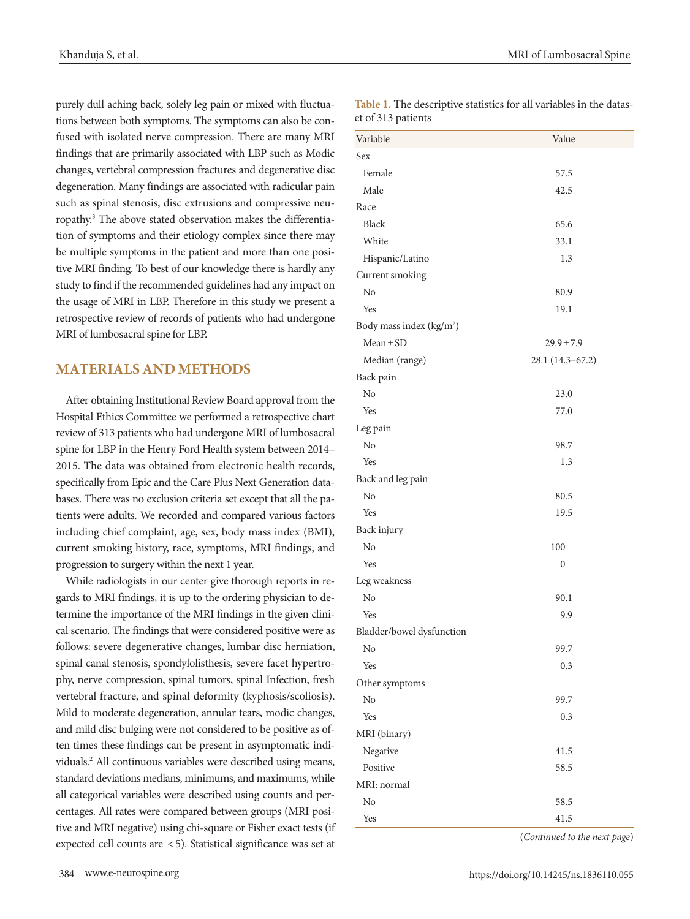purely dull aching back, solely leg pain or mixed with fluctuations between both symptoms. The symptoms can also be confused with isolated nerve compression. There are many MRI findings that are primarily associated with LBP such as Modic changes, vertebral compression fractures and degenerative disc degeneration. Many findings are associated with radicular pain such as spinal stenosis, disc extrusions and compressive neuropathy.3 The above stated observation makes the differentiation of symptoms and their etiology complex since there may be multiple symptoms in the patient and more than one positive MRI finding. To best of our knowledge there is hardly any study to find if the recommended guidelines had any impact on the usage of MRI in LBP. Therefore in this study we present a retrospective review of records of patients who had undergone MRI of lumbosacral spine for LBP.

#### **MATERIALS AND METHODS**

After obtaining Institutional Review Board approval from the Hospital Ethics Committee we performed a retrospective chart review of 313 patients who had undergone MRI of lumbosacral spine for LBP in the Henry Ford Health system between 2014– 2015. The data was obtained from electronic health records, specifically from Epic and the Care Plus Next Generation databases. There was no exclusion criteria set except that all the patients were adults. We recorded and compared various factors including chief complaint, age, sex, body mass index (BMI), current smoking history, race, symptoms, MRI findings, and progression to surgery within the next 1 year.

While radiologists in our center give thorough reports in regards to MRI findings, it is up to the ordering physician to determine the importance of the MRI findings in the given clinical scenario. The findings that were considered positive were as follows: severe degenerative changes, lumbar disc herniation, spinal canal stenosis, spondylolisthesis, severe facet hypertrophy, nerve compression, spinal tumors, spinal Infection, fresh vertebral fracture, and spinal deformity (kyphosis/scoliosis). Mild to moderate degeneration, annular tears, modic changes, and mild disc bulging were not considered to be positive as often times these findings can be present in asymptomatic individuals.2 All continuous variables were described using means, standard deviations medians, minimums, and maximums, while all categorical variables were described using counts and percentages. All rates were compared between groups (MRI positive and MRI negative) using chi-square or Fisher exact tests (if expected cell counts are < 5). Statistical significance was set at

**Table 1.** The descriptive statistics for all variables in the dataset of 313 patients

| Variable                             | Value            |  |
|--------------------------------------|------------------|--|
| Sex                                  |                  |  |
| Female                               | 57.5             |  |
| Male                                 | 42.5             |  |
| Race                                 |                  |  |
| <b>Black</b>                         | 65.6             |  |
| White                                | 33.1             |  |
| Hispanic/Latino                      | 1.3              |  |
| Current smoking                      |                  |  |
| No                                   | 80.9             |  |
| Yes                                  | 19.1             |  |
| Body mass index (kg/m <sup>2</sup> ) |                  |  |
| $Mean \pm SD$                        | $29.9 \pm 7.9$   |  |
| Median (range)                       | 28.1 (14.3-67.2) |  |
| Back pain                            |                  |  |
| No                                   | 23.0             |  |
| Yes                                  | 77.0             |  |
| Leg pain                             |                  |  |
| N <sub>o</sub>                       | 98.7             |  |
| Yes                                  | 1.3              |  |
| Back and leg pain                    |                  |  |
| No                                   | 80.5             |  |
| Yes                                  | 19.5             |  |
| Back injury                          |                  |  |
| No                                   | 100              |  |
| Yes                                  | $\boldsymbol{0}$ |  |
| Leg weakness                         |                  |  |
| No                                   | 90.1             |  |
| Yes                                  | 9.9              |  |
| Bladder/bowel dysfunction            |                  |  |
| No                                   | 99.7             |  |
| Yes                                  | 0.3              |  |
| Other symptoms                       |                  |  |
| No                                   | 99.7             |  |
| Yes                                  | 0.3              |  |
| MRI (binary)                         |                  |  |
| Negative                             | 41.5             |  |
| Positive                             | 58.5             |  |
| MRI: normal                          |                  |  |
| N <sub>o</sub>                       | 58.5             |  |
| Yes                                  | 41.5             |  |

(*Continued to the next page*)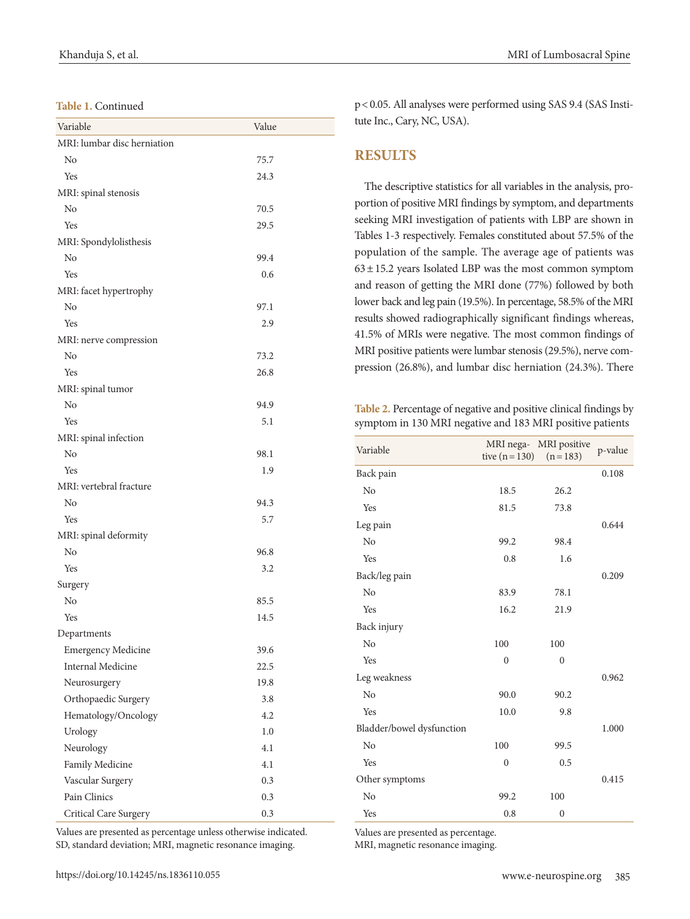**Table 1.** Continued

| Variable                    | Value |  |
|-----------------------------|-------|--|
| MRI: lumbar disc herniation |       |  |
| N <sub>o</sub>              | 75.7  |  |
| Yes                         | 24.3  |  |
| MRI: spinal stenosis        |       |  |
| No                          | 70.5  |  |
| Yes                         | 29.5  |  |
| MRI: Spondylolisthesis      |       |  |
| No                          | 99.4  |  |
| Yes                         | 0.6   |  |
| MRI: facet hypertrophy      |       |  |
| No                          | 97.1  |  |
| Yes                         | 2.9   |  |
| MRI: nerve compression      |       |  |
| No                          | 73.2  |  |
| Yes                         | 26.8  |  |
| MRI: spinal tumor           |       |  |
| No                          | 94.9  |  |
| Yes                         | 5.1   |  |
| MRI: spinal infection       |       |  |
| N <sub>o</sub>              | 98.1  |  |
| Yes                         | 1.9   |  |
| MRI: vertebral fracture     |       |  |
| No                          | 94.3  |  |
| Yes                         | 5.7   |  |
| MRI: spinal deformity       |       |  |
| No                          | 96.8  |  |
| Yes                         | 3.2   |  |
| Surgery                     |       |  |
| N <sub>o</sub>              | 85.5  |  |
| Yes                         | 14.5  |  |
| Departments                 |       |  |
| <b>Emergency Medicine</b>   | 39.6  |  |
| <b>Internal Medicine</b>    | 22.5  |  |
| Neurosurgery                | 19.8  |  |
| Orthopaedic Surgery         | 3.8   |  |
| Hematology/Oncology         | 4.2   |  |
| Urology                     | 1.0   |  |
| Neurology                   | 4.1   |  |
| Family Medicine             | 4.1   |  |
| Vascular Surgery            | 0.3   |  |
| Pain Clinics                | 0.3   |  |
| Critical Care Surgery       | 0.3   |  |

p< 0.05. All analyses were performed using SAS 9.4 (SAS Institute Inc., Cary, NC, USA).

#### **RESULTS**

The descriptive statistics for all variables in the analysis, proportion of positive MRI findings by symptom, and departments seeking MRI investigation of patients with LBP are shown in Tables 1-3 respectively. Females constituted about 57.5% of the population of the sample. The average age of patients was  $63 \pm 15.2$  years Isolated LBP was the most common symptom and reason of getting the MRI done (77%) followed by both lower back and leg pain (19.5%). In percentage, 58.5% of the MRI results showed radiographically significant findings whereas, 41.5% of MRIs were negative. The most common findings of MRI positive patients were lumbar stenosis (29.5%), nerve compression (26.8%), and lumbar disc herniation (24.3%). There

**Table 2.** Percentage of negative and positive clinical findings by symptom in 130 MRI negative and 183 MRI positive patients

| Variable                  | tive $(n=130)$ | MRI nega- MRI positive<br>$(n=183)$ | p-value |
|---------------------------|----------------|-------------------------------------|---------|
| Back pain                 |                |                                     | 0.108   |
| No                        | 18.5           | 26.2                                |         |
| Yes                       | 81.5           | 73.8                                |         |
| Leg pain                  |                |                                     | 0.644   |
| N <sub>0</sub>            | 99.2           | 98.4                                |         |
| Yes                       | 0.8            | 1.6                                 |         |
| Back/leg pain             |                |                                     | 0.209   |
| No                        | 83.9           | 78.1                                |         |
| Yes                       | 16.2           | 21.9                                |         |
| Back injury               |                |                                     |         |
| No                        | 100            | 100                                 |         |
| Yes                       | $\overline{0}$ | $\mathbf{0}$                        |         |
| Leg weakness              |                |                                     | 0.962   |
| N <sub>0</sub>            | 90.0           | 90.2                                |         |
| Yes                       | 10.0           | 9.8                                 |         |
| Bladder/bowel dysfunction |                |                                     | 1.000   |
| No                        | 100            | 99.5                                |         |
| Yes                       | $\overline{0}$ | 0.5                                 |         |
| Other symptoms            |                |                                     | 0.415   |
| N <sub>0</sub>            | 99.2           | 100                                 |         |
| Yes                       | 0.8            | $\mathbf{0}$                        |         |

Values are presented as percentage unless otherwise indicated. SD, standard deviation; MRI, magnetic resonance imaging.

Values are presented as percentage.

MRI, magnetic resonance imaging.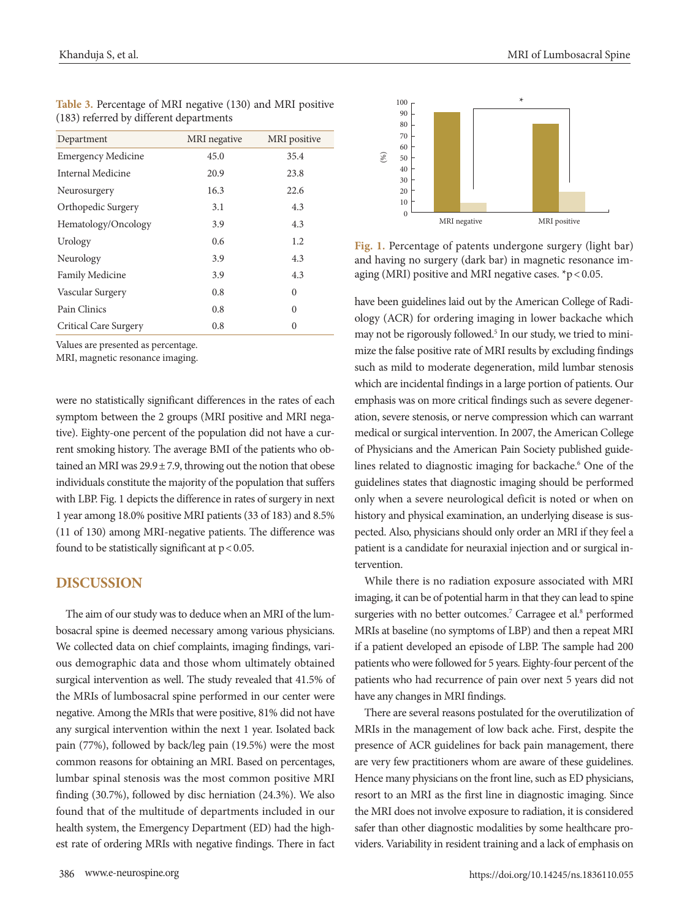| Department                | MRI negative | MRI positive |
|---------------------------|--------------|--------------|
| <b>Emergency Medicine</b> | 45.0         | 35.4         |
| Internal Medicine         | 20.9         | 23.8         |
| Neurosurgery              | 16.3         | 22.6         |
| Orthopedic Surgery        | 3.1          | 4.3          |
| Hematology/Oncology       | 3.9          | 4.3          |
| Urology                   | 0.6          | 1.2          |
| Neurology                 | 3.9          | 4.3          |
| Family Medicine           | 3.9          | 4.3          |
| Vascular Surgery          | 0.8          | $\Omega$     |
| Pain Clinics              | 0.8          | $\Omega$     |
| Critical Care Surgery     | 0.8          | $\theta$     |

**Table 3.** Percentage of MRI negative (130) and MRI positive (183) referred by different departments

Values are presented as percentage.

MRI, magnetic resonance imaging.

were no statistically significant differences in the rates of each symptom between the 2 groups (MRI positive and MRI negative). Eighty-one percent of the population did not have a current smoking history. The average BMI of the patients who obtained an MRI was  $29.9 \pm 7.9$ , throwing out the notion that obese individuals constitute the majority of the population that suffers with LBP. Fig. 1 depicts the difference in rates of surgery in next 1 year among 18.0% positive MRI patients (33 of 183) and 8.5% (11 of 130) among MRI-negative patients. The difference was found to be statistically significant at  $p < 0.05$ .

## **DISCUSSION**

The aim of our study was to deduce when an MRI of the lumbosacral spine is deemed necessary among various physicians. We collected data on chief complaints, imaging findings, various demographic data and those whom ultimately obtained surgical intervention as well. The study revealed that 41.5% of the MRIs of lumbosacral spine performed in our center were negative. Among the MRIs that were positive, 81% did not have any surgical intervention within the next 1 year. Isolated back pain (77%), followed by back/leg pain (19.5%) were the most common reasons for obtaining an MRI. Based on percentages, lumbar spinal stenosis was the most common positive MRI finding (30.7%), followed by disc herniation (24.3%). We also found that of the multitude of departments included in our health system, the Emergency Department (ED) had the highest rate of ordering MRIs with negative findings. There in fact



**Fig. 1.** Percentage of patents undergone surgery (light bar) and having no surgery (dark bar) in magnetic resonance imaging (MRI) positive and MRI negative cases. \*p < 0.05.

have been guidelines laid out by the American College of Radiology (ACR) for ordering imaging in lower backache which may not be rigorously followed.<sup>5</sup> In our study, we tried to minimize the false positive rate of MRI results by excluding findings such as mild to moderate degeneration, mild lumbar stenosis which are incidental findings in a large portion of patients. Our emphasis was on more critical findings such as severe degeneration, severe stenosis, or nerve compression which can warrant medical or surgical intervention. In 2007, the American College of Physicians and the American Pain Society published guidelines related to diagnostic imaging for backache.<sup>6</sup> One of the guidelines states that diagnostic imaging should be performed only when a severe neurological deficit is noted or when on history and physical examination, an underlying disease is suspected. Also, physicians should only order an MRI if they feel a patient is a candidate for neuraxial injection and or surgical intervention.

While there is no radiation exposure associated with MRI imaging, it can be of potential harm in that they can lead to spine surgeries with no better outcomes.<sup>7</sup> Carragee et al.<sup>8</sup> performed MRIs at baseline (no symptoms of LBP) and then a repeat MRI if a patient developed an episode of LBP. The sample had 200 patients who were followed for 5 years. Eighty-four percent of the patients who had recurrence of pain over next 5 years did not have any changes in MRI findings.

There are several reasons postulated for the overutilization of MRIs in the management of low back ache. First, despite the presence of ACR guidelines for back pain management, there are very few practitioners whom are aware of these guidelines. Hence many physicians on the front line, such as ED physicians, resort to an MRI as the first line in diagnostic imaging. Since the MRI does not involve exposure to radiation, it is considered safer than other diagnostic modalities by some healthcare providers. Variability in resident training and a lack of emphasis on